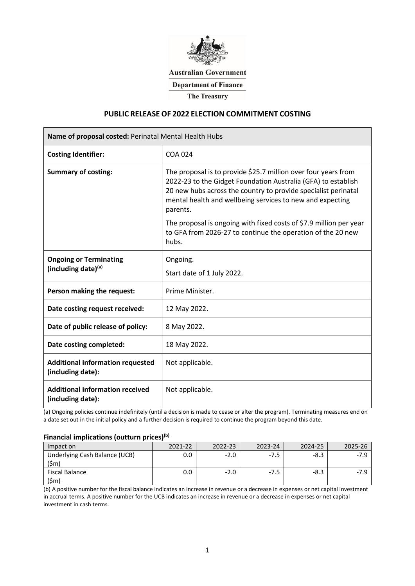

**Australian Government** 

**Department of Finance** 

**The Treasury** 

### **PUBLIC RELEASE OF 2022 ELECTION COMMITMENT COSTING**

| Name of proposal costed: Perinatal Mental Health Hubs        |                                                                                                                                                                                                                                                                                                                                                                                                                          |  |  |  |  |
|--------------------------------------------------------------|--------------------------------------------------------------------------------------------------------------------------------------------------------------------------------------------------------------------------------------------------------------------------------------------------------------------------------------------------------------------------------------------------------------------------|--|--|--|--|
| <b>Costing Identifier:</b>                                   | <b>COA 024</b>                                                                                                                                                                                                                                                                                                                                                                                                           |  |  |  |  |
| <b>Summary of costing:</b>                                   | The proposal is to provide \$25.7 million over four years from<br>2022-23 to the Gidget Foundation Australia (GFA) to establish<br>20 new hubs across the country to provide specialist perinatal<br>mental health and wellbeing services to new and expecting<br>parents.<br>The proposal is ongoing with fixed costs of \$7.9 million per year<br>to GFA from 2026-27 to continue the operation of the 20 new<br>hubs. |  |  |  |  |
| <b>Ongoing or Terminating</b><br>(including date)(a)         | Ongoing.<br>Start date of 1 July 2022.                                                                                                                                                                                                                                                                                                                                                                                   |  |  |  |  |
| Person making the request:                                   | Prime Minister.                                                                                                                                                                                                                                                                                                                                                                                                          |  |  |  |  |
| Date costing request received:                               | 12 May 2022.                                                                                                                                                                                                                                                                                                                                                                                                             |  |  |  |  |
| Date of public release of policy:                            | 8 May 2022.                                                                                                                                                                                                                                                                                                                                                                                                              |  |  |  |  |
| Date costing completed:                                      | 18 May 2022.                                                                                                                                                                                                                                                                                                                                                                                                             |  |  |  |  |
| <b>Additional information requested</b><br>(including date): | Not applicable.                                                                                                                                                                                                                                                                                                                                                                                                          |  |  |  |  |
| <b>Additional information received</b><br>(including date):  | Not applicable.                                                                                                                                                                                                                                                                                                                                                                                                          |  |  |  |  |

(a) Ongoing policies continue indefinitely (until a decision is made to cease or alter the program). Terminating measures end on a date set out in the initial policy and a further decision is required to continue the program beyond this date.

### **Financial implications (outturn prices)(b)**

| Impact on                     | $2021 - 27$<br> | 2023-24 | 2024-25 |  |
|-------------------------------|-----------------|---------|---------|--|
| Underlying Cash Balance (UCB) |                 | $-1$    |         |  |
| Fiscal Balance                |                 | $-1$    |         |  |
|                               |                 |         |         |  |

(b) A positive number for the fiscal balance indicates an increase in revenue or a decrease in expenses or net capital investment in accrual terms. A positive number for the UCB indicates an increase in revenue or a decrease in expenses or net capital investment in cash terms.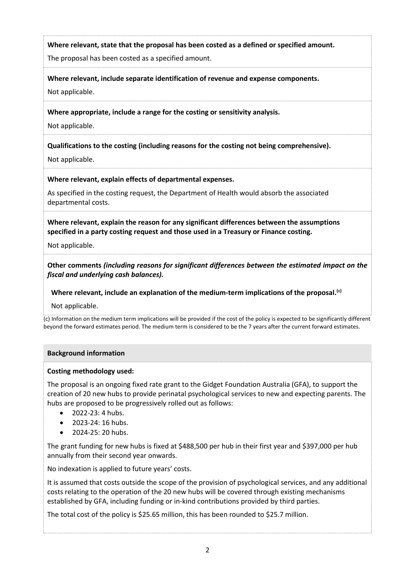## **Where relevant, state that the proposal has been costed as a defined or specified amount.**

The proposal has been costed as a specified amount.

**Where relevant, include separate identification of revenue and expense components.** 

Not applicable.

**Where appropriate, include a range for the costing or sensitivity analysis.**

Not applicable.

**Qualifications to the costing (including reasons for the costing not being comprehensive).**

Not applicable.

### **Where relevant, explain effects of departmental expenses.**

As specified in the costing request, the Department of Health would absorb the associated departmental costs.

**Where relevant, explain the reason for any significant differences between the assumptions specified in a party costing request and those used in a Treasury or Finance costing.**

Not applicable.

**Other comments** *(including reasons for significant differences between the estimated impact on the fiscal and underlying cash balances).*

## **Where relevant, include an explanation of the medium-term implications of the proposal. (c)**

Not applicable.

(c) Information on the medium term implications will be provided if the cost of the policy is expected to be significantly different beyond the forward estimates period. The medium term is considered to be the 7 years after the current forward estimates.

### **Background information**

### **Costing methodology used:**

The proposal is an ongoing fixed rate grant to the Gidget Foundation Australia (GFA), to support the creation of 20 new hubs to provide perinatal psychological services to new and expecting parents. The hubs are proposed to be progressively rolled out as follows:

- 2022-23: 4 hubs.
- 2023-24: 16 hubs.
- 2024-25: 20 hubs.

The grant funding for new hubs is fixed at \$488,500 per hub in their first year and \$397,000 per hub annually from their second year onwards.

No indexation is applied to future years' costs.

It is assumed that costs outside the scope of the provision of psychological services, and any additional costs relating to the operation of the 20 new hubs will be covered through existing mechanisms established by GFA, including funding or in-kind contributions provided by third parties.

The total cost of the policy is \$25.65 million, this has been rounded to \$25.7 million.